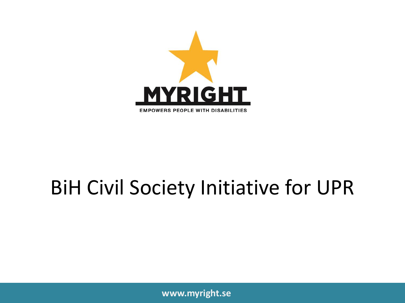

#### BiH Civil Society Initiative for UPR

**www.myright.se**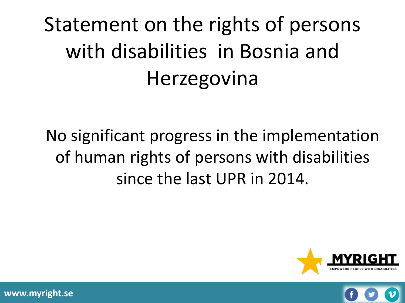# Statement on the rights of persons with disabilities in Bosnia and Herzegovina

No significant progress in the implementation of human rights of persons with disabilities since the last UPR in 2014.





**www.myright.se**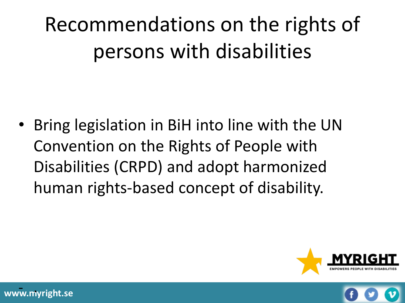• Bring legislation in BiH into line with the UN Convention on the Rights of People with Disabilities (CRPD) and adopt harmonized human rights-based concept of disability.



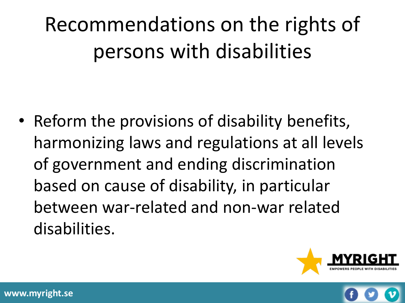• Reform the provisions of disability benefits, harmonizing laws and regulations at all levels of government and ending discrimination based on cause of disability, in particular between war-related and non-war related disabilities.



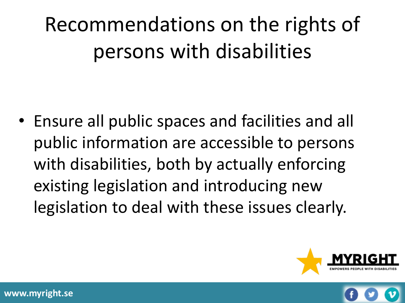• Ensure all public spaces and facilities and all public information are accessible to persons with disabilities, both by actually enforcing existing legislation and introducing new legislation to deal with these issues clearly.



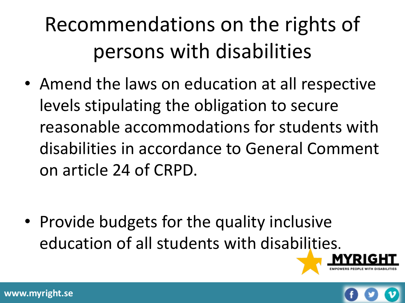• Amend the laws on education at all respective levels stipulating the obligation to secure reasonable accommodations for students with disabilities in accordance to General Comment on article 24 of CRPD.

• Provide budgets for the quality inclusive education of all students with disabilities.



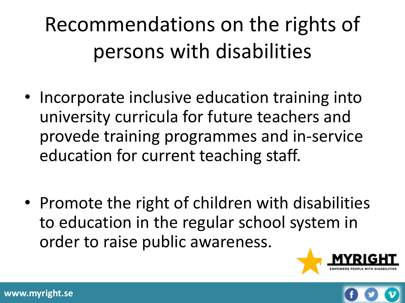- Incorporate inclusive education training into university curricula for future teachers and provede training programmes and in-service education for current teaching staff.
- Promote the right of children with disabilities to education in the regular school system in order to raise public awareness.